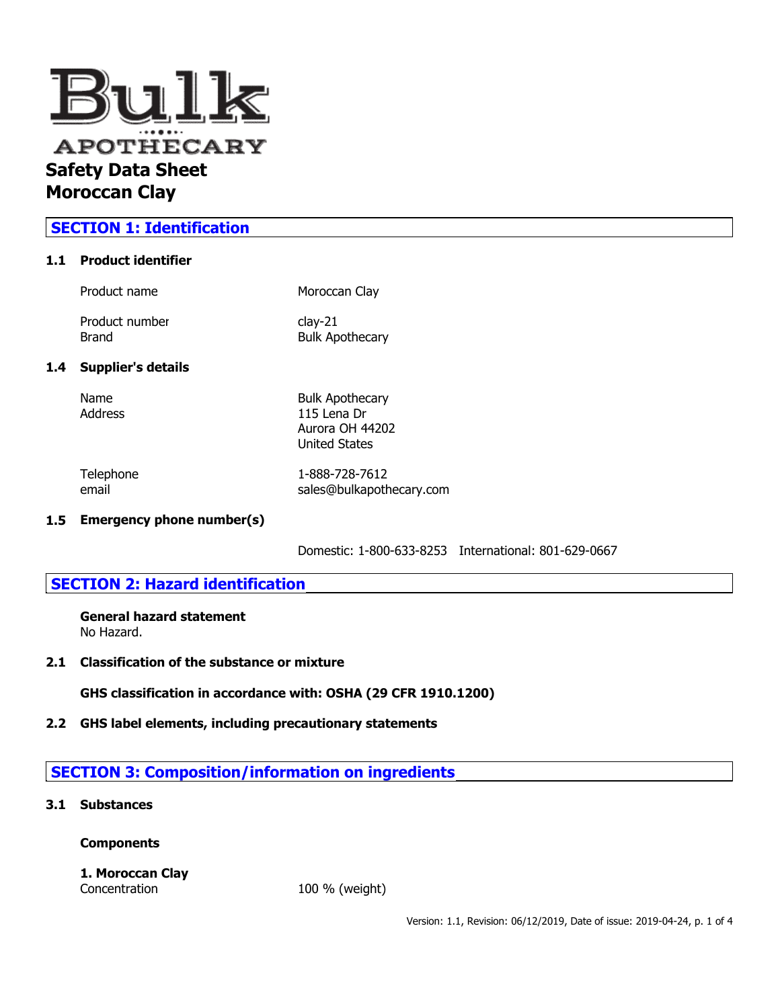

# **SECTION 1: Identification**

### **1.1 Product identifier**

| Product name              | Moroccan Clay                       |
|---------------------------|-------------------------------------|
| Product number<br>Brand   | $clay-21$<br><b>Bulk Apothecary</b> |
| <b>Supplier's details</b> |                                     |

## $1.4$

| Name    |  |
|---------|--|
| Address |  |

Name Bulk Apothecary Address 115 Lena Dr Aurora OH 44202 United States

Telephone 1-888-728-7612 email sales@bulkapothecary.com

### **1.5 Emergency phone number(s)**

Domestic: 1-800-633-8253 International: 801-629-0667

## **SECTION 2: Hazard identification**

**General hazard statement** No Hazard.

**2.1 Classification of the substance or mixture**

**GHS classification in accordance with: OSHA (29 CFR 1910.1200)**

## **2.2 GHS label elements, including precautionary statements**

# **SECTION 3: Composition/information on ingredients**

## **3.1 Substances**

## **Components**

#### **1. Moroccan Clay** Concentration 100 % (weight)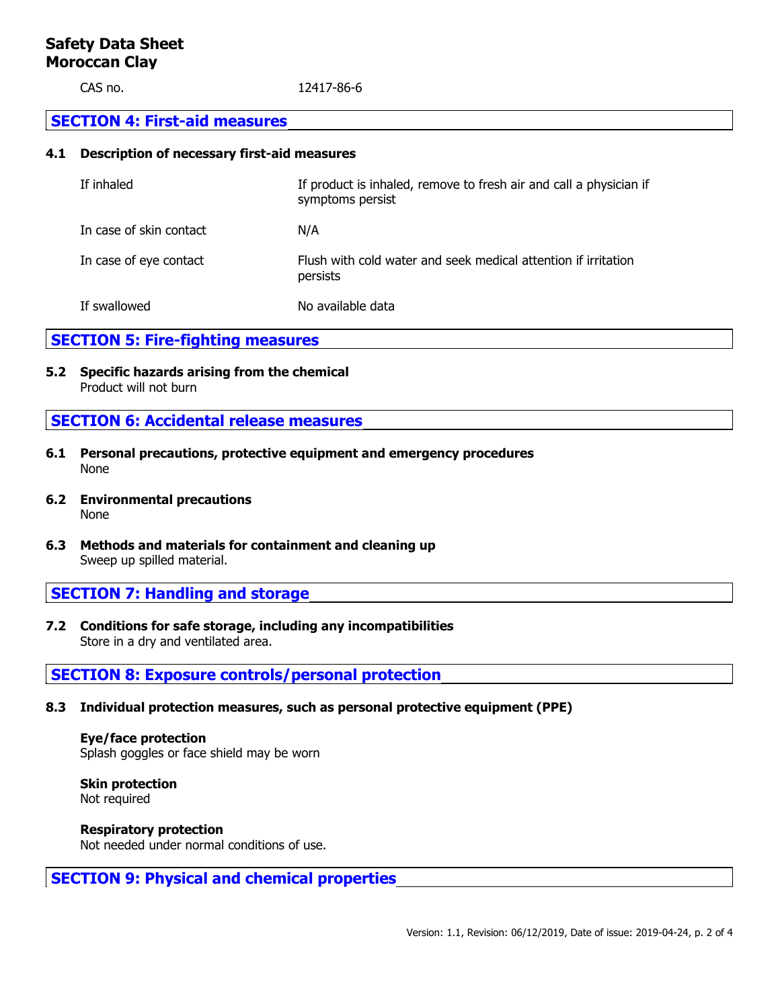## **Safety Data Sheet Moroccan Clay**

CAS no. 12417-86-6

### **SECTION 4: First-aid measures**

### **4.1 Description of necessary first-aid measures**

| If inhaled              | If product is inhaled, remove to fresh air and call a physician if<br>symptoms persist |
|-------------------------|----------------------------------------------------------------------------------------|
| In case of skin contact | N/A                                                                                    |
| In case of eye contact  | Flush with cold water and seek medical attention if irritation<br>persists             |
| If swallowed            | No available data                                                                      |

## **SECTION 5: Fire-fighting measures**

**5.2 Specific hazards arising from the chemical** Product will not burn

## **SECTION 6: Accidental release measures**

- **6.1 Personal precautions, protective equipment and emergency procedures** None
- **6.2 Environmental precautions** None
- **6.3 Methods and materials for containment and cleaning up** Sweep up spilled material.

## **SECTION 7: Handling and storage**

**7.2 Conditions for safe storage, including any incompatibilities** Store in a dry and ventilated area.

## **SECTION 8: Exposure controls/personal protection**

**8.3 Individual protection measures, such as personal protective equipment (PPE)**

**Eye/face protection** Splash goggles or face shield may be worn

**Skin protection** Not required

**Respiratory protection** Not needed under normal conditions of use.

# **SECTION 9: Physical and chemical properties**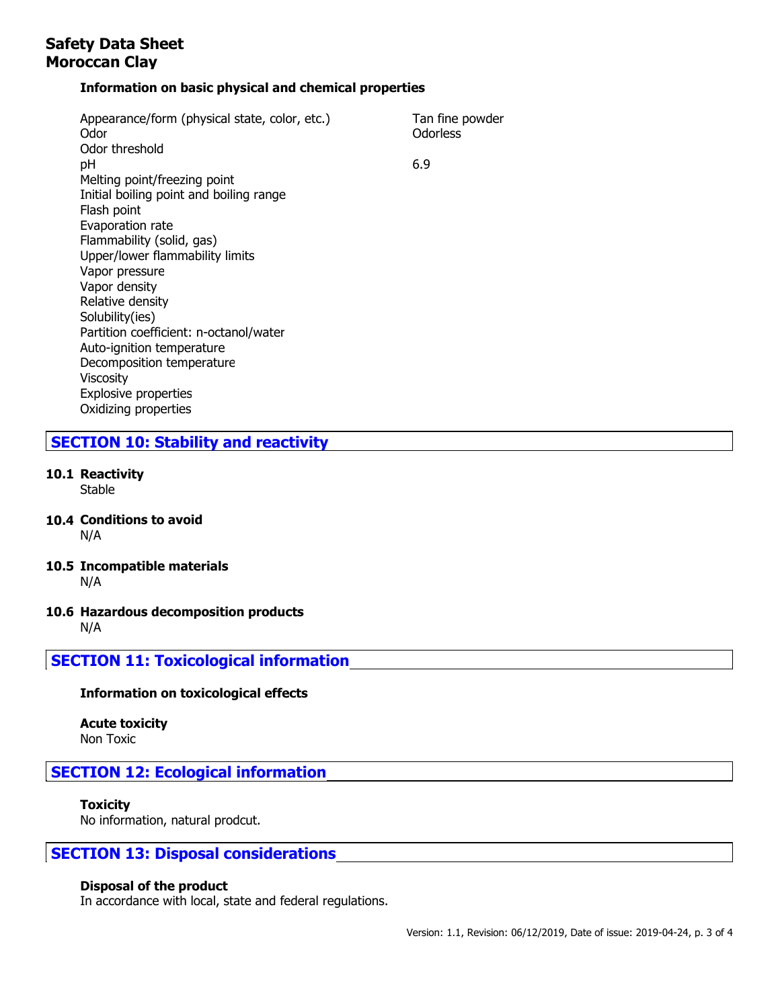# **Safety Data Sheet Moroccan Clay**

### **Information on basic physical and chemical properties**

| Appearance/form (physical state, color, etc.)<br>Odor | Tan fine powder<br>Odorless |
|-------------------------------------------------------|-----------------------------|
| Odor threshold                                        |                             |
| рH                                                    | 6.9                         |
| Melting point/freezing point                          |                             |
| Initial boiling point and boiling range               |                             |
| Flash point                                           |                             |
| Evaporation rate                                      |                             |
| Flammability (solid, gas)                             |                             |
| Upper/lower flammability limits                       |                             |
| Vapor pressure                                        |                             |
| Vapor density                                         |                             |
| Relative density                                      |                             |
| Solubility(ies)                                       |                             |
| Partition coefficient: n-octanol/water                |                             |
| Auto-ignition temperature                             |                             |
| Decomposition temperature                             |                             |
| <b>Viscosity</b>                                      |                             |
| <b>Explosive properties</b>                           |                             |
| Oxidizing properties                                  |                             |

## **SECTION 10: Stability and reactivity**

**10.1 Reactivity**

Stable

- **10.4 Conditions to avoid** N/A
- **10.5 Incompatible materials** N/A
- **10.6 Hazardous decomposition products** N/A

**SECTION 11: Toxicological information**

### **Information on toxicological effects**

**Acute toxicity** Non Toxic

# **SECTION 12: Ecological information**

### **Toxicity**

No information, natural prodcut.

## **SECTION 13: Disposal considerations**

#### **Disposal of the product**

In accordance with local, state and federal regulations.